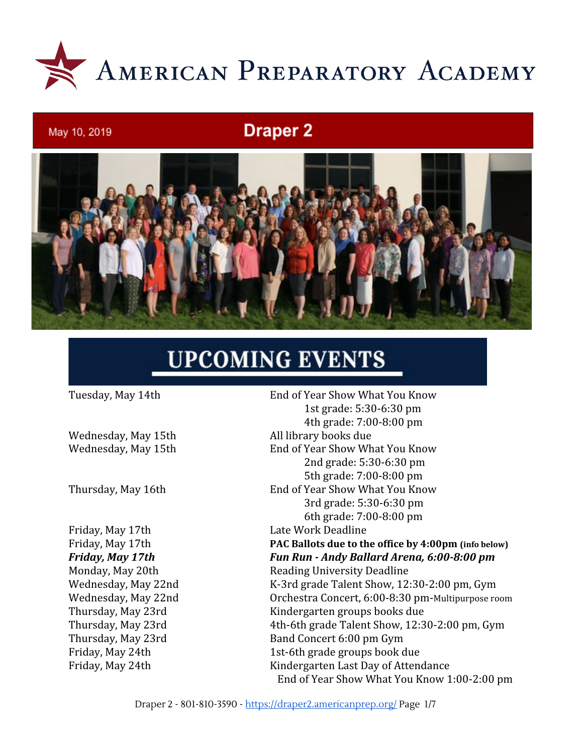

# **Draper 2**



# **UPCOMING EVENTS**

May 10, 2019

Wednesday, May 15th All library books due

Friday, May 17th Late Work Deadline

Tuesday, May 14th End of Year Show What You Know 1st grade: 5:30-6:30 pm 4th grade: 7:00-8:00 pm Wednesday, May 15th End of Year Show What You Know 2nd grade: 5:30-6:30 pm 5th grade: 7:00-8:00 pm Thursday, May 16th End of Year Show What You Know 3rd grade: 5:30-6:30 pm 6th grade: 7:00-8:00 pm Friday, May 17th **PAC Ballots due to the office by 4:00pm (info below)** *Friday, May 17th Fun Run - Andy Ballard Arena, 6:00-8:00 pm* Monday, May 20th Reading University Deadline Wednesday, May 22nd K-3rd grade Talent Show, 12:30-2:00 pm, Gym Wednesday, May 22nd Orchestra Concert, 6:00-8:30 pm-Multipurpose room Thursday, May 23rd Kindergarten groups books due Thursday, May 23rd 4th-6th grade Talent Show, 12:30-2:00 pm, Gym Thursday, May 23rd Band Concert 6:00 pm Gym Friday, May 24th 1st-6th grade groups book due Friday, May 24th Kindergarten Last Day of Attendance End of Year Show What You Know 1:00-2:00 pm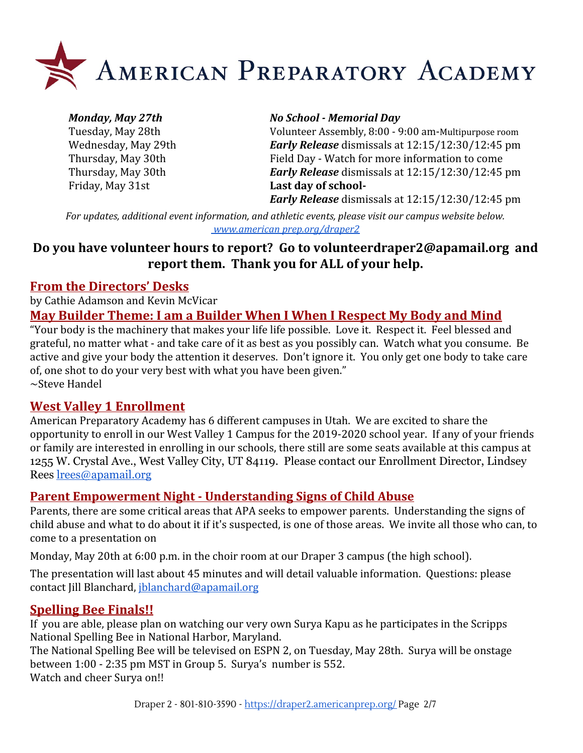

Friday, May 31st **Last day of school-**

#### *Monday, May 27th No School - Memorial Day*

Tuesday, May 28th Volunteer Assembly, 8:00 - 9:00 am-Multipurpose room Wednesday, May 29th *Early Release* dismissals at 12:15/12:30/12:45 pm Thursday, May 30th Field Day - Watch for more information to come Thursday, May 30th *Early Release* dismissals at 12:15/12:30/12:45 pm

*Early Release* dismissals at 12:15/12:30/12:45 pm

*For updates, additional event information, and athletic events, please visit our campus website below. www.american [prep.org/draper2](https://draper2.americanprep.org/)*

#### **Do you have volunteer hours to report? Go to [volunteerdraper2@apamail.org](mailto:volunteerdraper2@apamail.org) and report them. Thank you for ALL of your help.**

#### **From the Directors' Desks**

by Cathie Adamson and Kevin McVicar

#### **May Builder Theme: I am a Builder When I When I Respect My Body and Mind**

"Your body is the machinery that makes your life life possible. Love it. Respect it. Feel blessed and grateful, no matter what - and take care of it as best as you possibly can. Watch what you consume. Be active and give your body the attention it deserves. Don't ignore it. You only get one body to take care of, one shot to do your very best with what you have been given." ~Steve Handel

#### **West Valley 1 Enrollment**

American Preparatory Academy has 6 different campuses in Utah. We are excited to share the opportunity to enroll in our West Valley 1 Campus for the 2019-2020 school year. If any of your friends or family are interested in enrolling in our schools, there still are some seats available at this campus at 1255 W. Crystal Ave., West Valley City, UT 84119. Please contact our Enrollment Director, Lindsey Rees [lrees@apamail.org](mailto:lrees@apamail.org)

#### **Parent Empowerment Night - Understanding Signs of Child Abuse**

Parents, there are some critical areas that APA seeks to empower parents. Understanding the signs of child abuse and what to do about it if it's suspected, is one of those areas. We invite all those who can, to come to a presentation on

Monday, May 20th at 6:00 p.m. in the choir room at our Draper 3 campus (the high school).

The presentation will last about 45 minutes and will detail valuable information. Questions: please contact Jill Blanchard, [jblanchard@apamail.org](mailto:jblanchard@apamail.org)

#### **Spelling Bee Finals!!**

If you are able, please plan on watching our very own Surya Kapu as he participates in the Scripps National Spelling Bee in National Harbor, Maryland.

The National Spelling Bee will be televised on ESPN 2, on Tuesday, May 28th. Surya will be onstage between 1:00 - 2:35 pm MST in Group 5. Surya's number is 552. Watch and cheer Surya on!!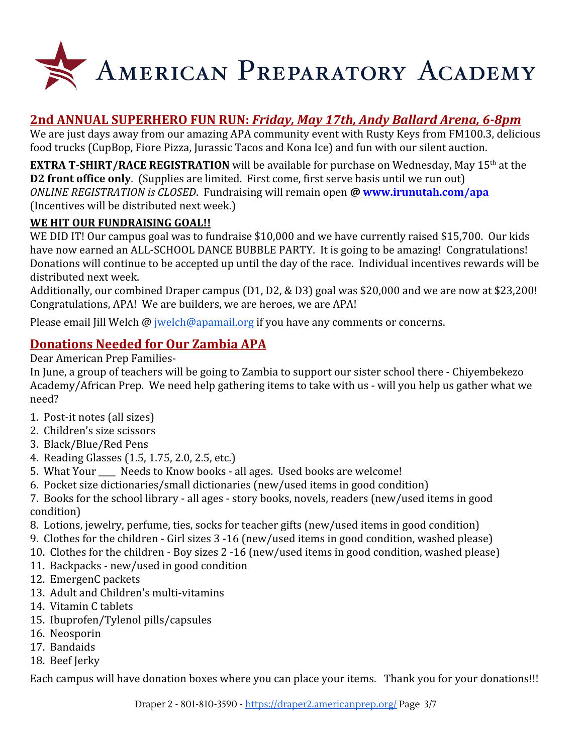

# **2nd ANNUAL SUPERHERO FUN RUN:** *Friday, May 17th, Andy Ballard Arena, 6-8pm*

We are just days away from our amazing APA community event with Rusty Keys from FM100.3, delicious food trucks (CupBop, Fiore Pizza, Jurassic Tacos and Kona Ice) and fun with our silent auction.

**EXTRA T-SHIRT/RACE REGISTRATION** will be available for purchase on Wednesday, May 15<sup>th</sup> at the **D2 front office only.** (Supplies are limited. First come, first serve basis until we run out) *ONLINE REGISTRATION is CLOSED*.Fundraising will remain open *@* **[www.irunutah.com/apa](http://www.irunutah.com/apa)** (Incentives will be distributed next week.)

#### **WE HIT OUR FUNDRAISING GOAL!!**

WE DID IT! Our campus goal was to fundraise \$10,000 and we have currently raised \$15,700. Our kids have now earned an ALL-SCHOOL DANCE BUBBLE PARTY. It is going to be amazing! Congratulations! Donations will continue to be accepted up until the day of the race. Individual incentives rewards will be distributed next week.

Additionally, our combined Draper campus (D1, D2, & D3) goal was \$20,000 and we are now at \$23,200! Congratulations, APA! We are builders, we are heroes, we are APA!

Please email Jill Welch @ [jwelch@apamail.org](mailto:jwelch@apamail.org) if you have any comments or concerns.

### **Donations Needed for Our Zambia APA**

Dear American Prep Families-

In June, a group of teachers will be going to Zambia to support our sister school there - Chiyembekezo Academy/African Prep. We need help gathering items to take with us - will you help us gather what we need?

- 1. Post-it notes (all sizes)
- 2. Children's size scissors
- 3. Black/Blue/Red Pens
- 4. Reading Glasses (1.5, 1.75, 2.0, 2.5, etc.)
- 5. What Your Needs to Know books all ages. Used books are welcome!
- 6. Pocket size dictionaries/small dictionaries (new/used items in good condition)
- 7. Books for the school library all ages story books, novels, readers (new/used items in good condition)
- 8. Lotions, jewelry, perfume, ties, socks for teacher gifts (new/used items in good condition)
- 9. Clothes for the children Girl sizes 3 -16 (new/used items in good condition, washed please)
- 10. Clothes for the children Boy sizes 2 -16 (new/used items in good condition, washed please)
- 11. Backpacks new/used in good condition
- 12. EmergenC packets
- 13. Adult and Children's multi-vitamins
- 14. Vitamin C tablets
- 15. Ibuprofen/Tylenol pills/capsules
- 16. Neosporin
- 17. Bandaids
- 18. Beef Jerky

Each campus will have donation boxes where you can place your items. Thank you for your donations!!!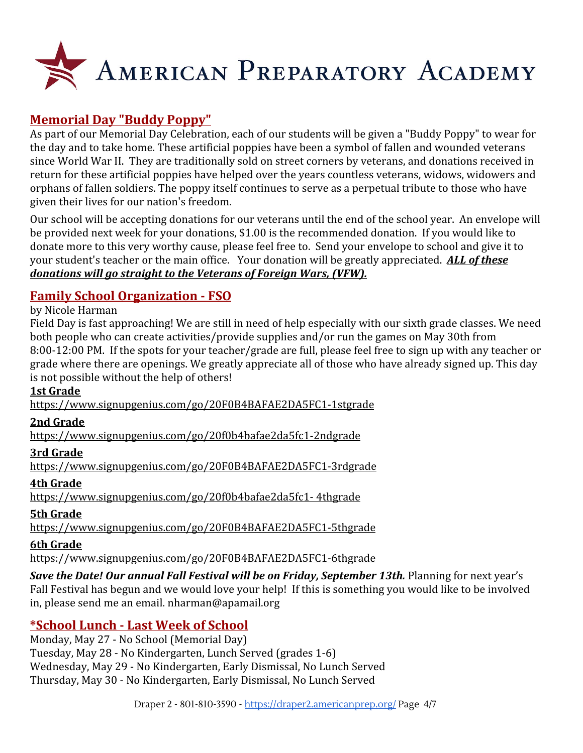

## **Memorial Day "Buddy Poppy"**

As part of our Memorial Day Celebration, each of our students will be given a "Buddy Poppy" to wear for the day and to take home. These artificial poppies have been a symbol of fallen and wounded veterans since World War II. They are traditionally sold on street corners by veterans, and donations received in return for these artificial poppies have helped over the years countless veterans, widows, widowers and orphans of fallen soldiers. The poppy itself continues to serve as a perpetual tribute to those who have given their lives for our nation's freedom.

Our school will be accepting donations for our veterans until the end of the school year. An envelope will be provided next week for your donations, \$1.00 is the recommended donation. If you would like to donate more to this very worthy cause, please feel free to. Send your envelope to school and give it to your student's teacher or the main office. Your donation will be greatly appreciated. *ALL of these donations will go straight to the Veterans of Foreign Wars, (VFW).*

### **Family School Organization - FSO**

#### by Nicole Harman

Field Day is fast approaching! We are still in need of help especially with our sixth grade classes. We need both people who can create activities/provide supplies and/or run the games on May 30th from 8:00-12:00 PM. If the spots for your teacher/grade are full, please feel free to sign up with any teacher or grade where there are openings. We greatly appreciate all of those who have already signed up. This day is not possible without the help of others!

#### **1st Grade**

<https://www.signupgenius.com/go/20F0B4BAFAE2DA5FC1-1stgrade>

#### **2nd Grade**

<https://www.signupgenius.com/go/20f0b4bafae2da5fc1-2ndgrade>

#### **3rd Grade**

<https://www.signupgenius.com/go/20F0B4BAFAE2DA5FC1-3rdgrade>

#### **4th Grade**

[https://www.signupgenius.com/go/20f0b4bafae2da5fc1- 4thgrade](https://www.signupgenius.com/go/20f0b4bafae2da5fc1-4thgrade)

#### **5th Grade**

<https://www.signupgenius.com/go/20F0B4BAFAE2DA5FC1-5thgrade>

#### **6th Grade**

<https://www.signupgenius.com/go/20F0B4BAFAE2DA5FC1-6thgrade>

**Save the Date! Our annual Fall Festival will be on Friday, September 13th.** Planning for next year's Fall Festival has begun and we would love your help! If this is something you would like to be involved in, please send me an email. nharman@apamail.org

#### **\*School Lunch - Last Week of School**

Monday, May 27 - No School (Memorial Day) Tuesday, May 28 - No Kindergarten, Lunch Served (grades 1-6) Wednesday, May 29 - No Kindergarten, Early Dismissal, No Lunch Served Thursday, May 30 - No Kindergarten, Early Dismissal, No Lunch Served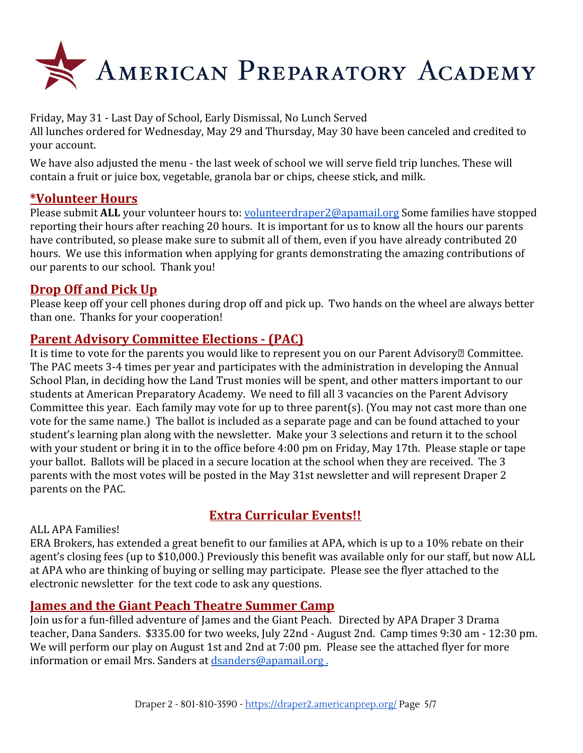

Friday, May 31 - Last Day of School, Early Dismissal, No Lunch Served All lunches ordered for Wednesday, May 29 and Thursday, May 30 have been canceled and credited to your account.

We have also adjusted the menu - the last week of school we will serve field trip lunches. These will contain a fruit or juice box, vegetable, granola bar or chips, cheese stick, and milk.

#### **\*Volunteer Hours**

Please submit **ALL** your volunteer hours to: [volunteerdraper2@apamail.org](mailto:volunteerdraper2@apamail.org) Some families have stopped reporting their hours after reaching 20 hours. It is important for us to know all the hours our parents have contributed, so please make sure to submit all of them, even if you have already contributed 20 hours. We use this information when applying for grants demonstrating the amazing contributions of our parents to our school. Thank you!

#### **Drop Off and Pick Up**

Please keep off your cell phones during drop off and pick up. Two hands on the wheel are always better than one. Thanks for your cooperation!

#### **Parent Advisory Committee Elections - (PAC)**

It is time to vote for the parents you would like to represent you on our Parent Advisory<sup>[2]</sup> Committee. The PAC meets 3-4 times per year and participates with the administration in developing the Annual School Plan, in deciding how the Land Trust monies will be spent, and other matters important to our students at American Preparatory Academy. We need to fill all 3 vacancies on the Parent Advisory Committee this year. Each family may vote for up to three parent(s). (You may not cast more than one vote for the same name.) The ballot is included as a separate page and can be found attached to your student's learning plan along with the newsletter. Make your 3 selections and return it to the school with your student or bring it in to the office before 4:00 pm on Friday, May 17th. Please staple or tape your ballot. Ballots will be placed in a secure location at the school when they are received. The 3 parents with the most votes will be posted in the May 31st newsletter and will represent Draper 2 parents on the PAC.

### **Extra Curricular Events!!**

#### ALL APA Families!

ERA Brokers, has extended a great benefit to our families at APA, which is up to a 10% rebate on their agent's closing fees (up to \$10,000.) Previously this benefit was available only for our staff, but now ALL at APA who are thinking of buying or selling may participate. Please see the flyer attached to the electronic newsletter for the text code to ask any questions.

#### **James and the Giant Peach Theatre Summer Camp**

Join us for a fun-filled adventure of James and the Giant Peach. Directed by APA Draper 3 Drama teacher, Dana Sanders. \$335.00 for two weeks, July 22nd - August 2nd. Camp times 9:30 am - 12:30 pm. We will perform our play on August 1st and 2nd at 7:00 pm. Please see the attached flyer for more information or email Mrs. Sanders at [dsanders@apamail.org .](mailto:dsanders@apamail.org)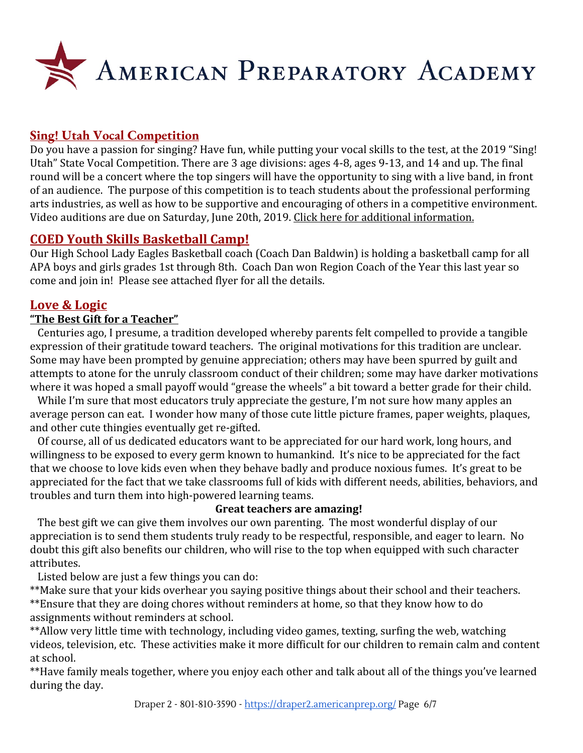

#### **Sing! Utah Vocal Competition**

Do you have a passion for singing? Have fun, while putting your vocal skills to the test, at the 2019 "Sing! Utah" State Vocal Competition. There are 3 age divisions: ages 4-8, ages 9-13, and 14 and up. The final round will be a concert where the top singers will have the opportunity to sing with a live band, in front of an audience. The purpose of this competition is to teach students about the professional performing arts industries, as well as how to be supportive and encouraging of others in a competitive environment. Video auditions are due on Saturday, June 20th, 2019. [Click here for additional information.](https://draper3.americanprep.org/wp-content/uploads/sites/276/2019/04/Sing-Utah-2019-Vocal-Comp-Poster.jpg)

#### **COED Youth Skills Basketball Camp!**

Our High School Lady Eagles Basketball coach (Coach Dan Baldwin) is holding a basketball camp for all APA boys and girls grades 1st through 8th. Coach Dan won Region Coach of the Year this last year so come and join in! Please see attached flyer for all the details.

#### **Love & Logic**

#### **"The Best Gift for a Teacher"**

 Centuries ago, I presume, a tradition developed whereby parents felt compelled to provide a tangible expression of their gratitude toward teachers. The original motivations for this tradition are unclear. Some may have been prompted by genuine appreciation; others may have been spurred by guilt and attempts to atone for the unruly classroom conduct of their children; some may have darker motivations where it was hoped a small payoff would "grease the wheels" a bit toward a better grade for their child.

While I'm sure that most educators truly appreciate the gesture, I'm not sure how many apples an average person can eat. I wonder how many of those cute little picture frames, paper weights, plaques, and other cute thingies eventually get re-gifted.

 Of course, all of us dedicated educators want to be appreciated for our hard work, long hours, and willingness to be exposed to every germ known to humankind. It's nice to be appreciated for the fact that we choose to love kids even when they behave badly and produce noxious fumes. It's great to be appreciated for the fact that we take classrooms full of kids with different needs, abilities, behaviors, and troubles and turn them into high-powered learning teams.

#### **Great teachers are amazing!**

 The best gift we can give them involves our own parenting. The most wonderful display of our appreciation is to send them students truly ready to be respectful, responsible, and eager to learn. No doubt this gift also benefits our children, who will rise to the top when equipped with such character attributes.

Listed below are just a few things you can do:

\*\*Make sure that your kids overhear you saying positive things about their school and their teachers. \*\*Ensure that they are doing chores without reminders at home, so that they know how to do assignments without reminders at school.

\*\*Allow very little time with technology, including video games, texting, surfing the web, watching videos, television, etc. These activities make it more difficult for our children to remain calm and content at school.

\*\*Have family meals together, where you enjoy each other and talk about all of the things you've learned during the day.